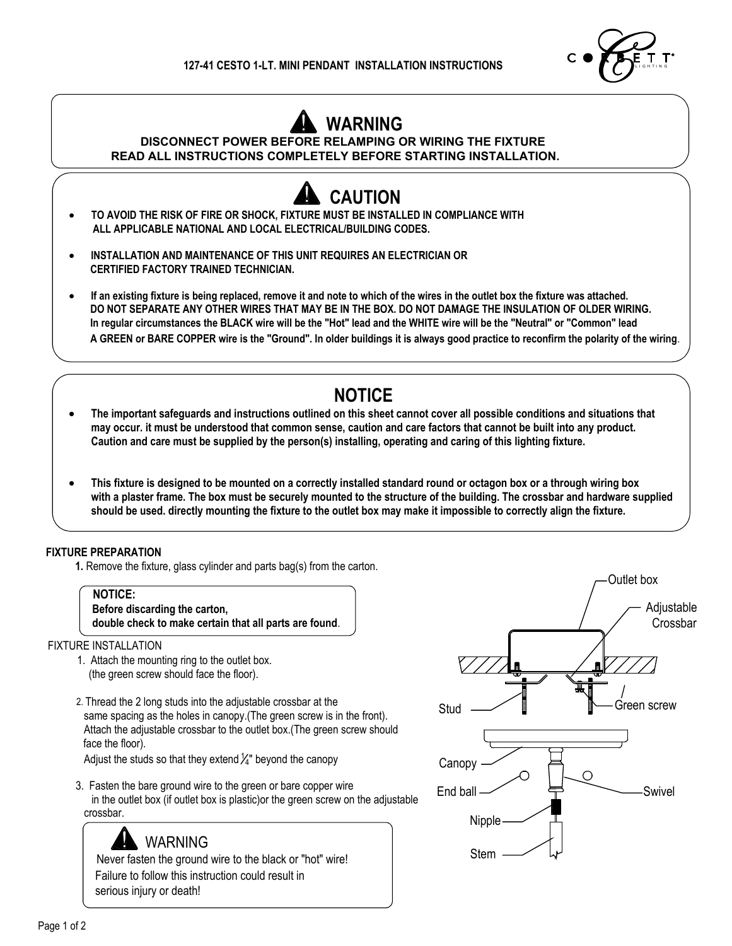

## **WARNING**

**DISCONNECT POWER BEFORE RELAMPING OR WIRING THE FIXTURE**

**READ ALL INSTRUCTIONS COMPLETELY BEFORE STARTING INSTALLATION.**

## **CAUTION**

- **· TO AVOID THE RISK OF FIRE OR SHOCK, FIXTURE MUST BE INSTALLED IN COMPLIANCE WITH ALL APPLICABLE NATIONAL AND LOCAL ELECTRICAL/BUILDING CODES.**
- **· INSTALLATION AND MAINTENANCE OF THIS UNIT REQUIRES AN ELECTRICIAN OR CERTIFIED FACTORY TRAINED TECHNICIAN.**
- **· If an existing fixture is being replaced, remove it and note to which of the wires in the outlet box the fixture was attached. DO NOT SEPARATE ANY OTHER WIRES THAT MAY BE IN THE BOX. DO NOT DAMAGE THE INSULATION OF OLDER WIRING. In regular circumstances the BLACK wire will be the "Hot" lead and the WHITE wire will be the "Neutral" or "Common" lead A GREEN or BARE COPPER wire is the "Ground". In older buildings it is always good practice to reconfirm the polarity of the wiring**.

## **NOTICE**

- **· The important safeguards and instructions outlined on this sheet cannot cover all possible conditions and situations that may occur. it must be understood that common sense, caution and care factors that cannot be built into any product. Caution and care must be supplied by the person(s) installing, operating and caring of this lighting fixture.**
- **· This fixture is designed to be mounted on a correctly installed standard round or octagon box or a through wiring box with a plaster frame. The box must be securely mounted to the structure of the building. The crossbar and hardware supplied should be used. directly mounting the fixture to the outlet box may make it impossible to correctly align the fixture.**

## **FIXTURE PREPARATION**

**1.** Remove the fixture, glass cylinder and parts bag(s) from the carton.